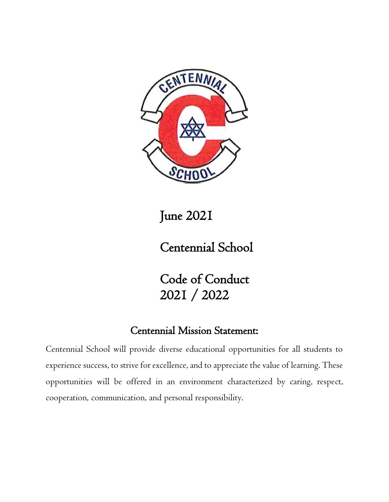

June 2021

Centennial School

Code of Conduct 2021 / 2022

## Centennial Mission Statement:

Centennial School will provide diverse educational opportunities for all students to experience success, to strive for excellence, and to appreciate the value of learning. These opportunities will be offered in an environment characterized by caring, respect, cooperation, communication, and personal responsibility.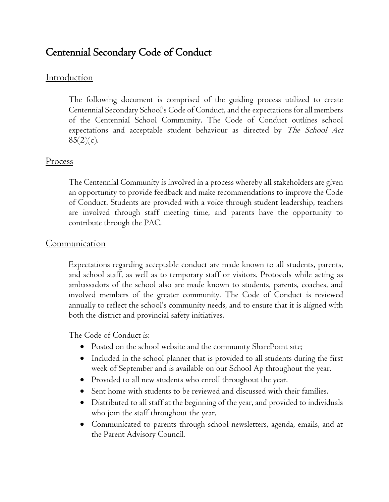# Centennial Secondary Code of Conduct

### Introduction

The following document is comprised of the guiding process utilized to create Centennial Secondary School's Code of Conduct, and the expectations for all members of the Centennial School Community. The Code of Conduct outlines school expectations and acceptable student behaviour as directed by *The School Act*  $85(2)(c)$ .

#### Process

The Centennial Community is involved in a process whereby all stakeholders are given an opportunity to provide feedback and make recommendations to improve the Code of Conduct. Students are provided with a voice through student leadership, teachers are involved through staff meeting time, and parents have the opportunity to contribute through the PAC.

#### **Communication**

Expectations regarding acceptable conduct are made known to all students, parents, and school staff, as well as to temporary staff or visitors. Protocols while acting as ambassadors of the school also are made known to students, parents, coaches, and involved members of the greater community. The Code of Conduct is reviewed annually to reflect the school's community needs, and to ensure that it is aligned with both the district and provincial safety initiatives.

The Code of Conduct is:

- Posted on the school website and the community SharePoint site;
- Included in the school planner that is provided to all students during the first week of September and is available on our School Ap throughout the year.
- Provided to all new students who enroll throughout the year.
- Sent home with students to be reviewed and discussed with their families.
- Distributed to all staff at the beginning of the year, and provided to individuals who join the staff throughout the year.
- Communicated to parents through school newsletters, agenda, emails, and at the Parent Advisory Council.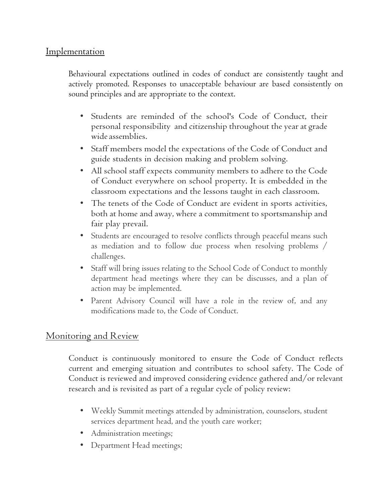#### **Implementation**

Behavioural expectations outlined in codes of conduct are consistently taught and actively promoted. Responses to unacceptable behaviour are based consistently on sound principles and are appropriate to the context.

- Students are reminded of the school's Code of Conduct, their personal responsibility and citizenship throughout the year at grade wide assemblies.
- Staff members model the expectations of the Code of Conduct and guide students in decision making and problem solving.
- All school staff expects community members to adhere to the Code of Conduct everywhere on school property. It is embedded in the classroom expectations and the lessons taught in each classroom.
- The tenets of the Code of Conduct are evident in sports activities, both at home and away, where a commitment to sportsmanship and fair play prevail.
- Students are encouraged to resolve conflicts through peaceful means such as mediation and to follow due process when resolving problems / challenges.
- Staff will bring issues relating to the School Code of Conduct to monthly department head meetings where they can be discusses, and a plan of action may be implemented.
- Parent Advisory Council will have a role in the review of, and any modifications made to, the Code of Conduct.

### Monitoring and Review

Conduct is continuously monitored to ensure the Code of Conduct reflects current and emerging situation and contributes to school safety. The Code of Conduct is reviewed and improved considering evidence gathered and/or relevant research and is revisited as part of a regular cycle of policy review:

- Weekly Summit meetings attended by administration, counselors, student services department head, and the youth care worker;
- Administration meetings;
- Department Head meetings;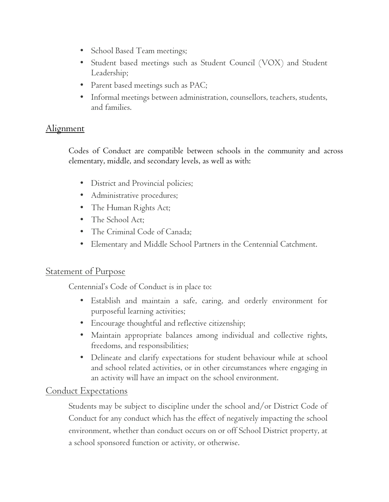- School Based Team meetings;
- Student based meetings such as Student Council (VOX) and Student Leadership;
- Parent based meetings such as PAC;
- Informal meetings between administration, counsellors, teachers, students, and families.

## Alignment

Codes of Conduct are compatible between schools in the community and across elementary, middle, and secondary levels, as well as with:

- District and Provincial policies;
- Administrative procedures;
- The Human Rights Act;
- The School Act;
- The Criminal Code of Canada;
- Elementary and Middle School Partners in the Centennial Catchment.

### Statement of Purpose

Centennial's Code of Conduct is in place to:

- Establish and maintain a safe, caring, and orderly environment for purposeful learning activities;
- Encourage thoughtful and reflective citizenship;
- Maintain appropriate balances among individual and collective rights, freedoms, and responsibilities;
- Delineate and clarify expectations for student behaviour while at school and school related activities, or in other circumstances where engaging in an activity will have an impact on the school environment.

### Conduct Expectations

Students may be subject to discipline under the school and/or District Code of Conduct for any conduct which has the effect of negatively impacting the school environment, whether than conduct occurs on or off School District property, at a school sponsored function or activity, or otherwise.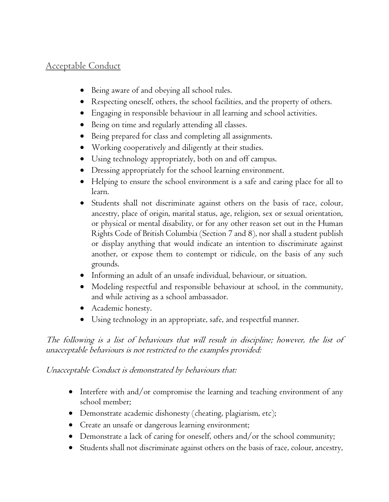## Acceptable Conduct

- Being aware of and obeying all school rules.
- Respecting oneself, others, the school facilities, and the property of others.
- Engaging in responsible behaviour in all learning and school activities.
- Being on time and regularly attending all classes.
- Being prepared for class and completing all assignments.
- Working cooperatively and diligently at their studies.
- Using technology appropriately, both on and off campus.
- Dressing appropriately for the school learning environment.
- Helping to ensure the school environment is a safe and caring place for all to learn.
- Students shall not discriminate against others on the basis of race, colour, ancestry, place of origin, marital status, age, religion, sex or sexual orientation, or physical or mental disability, or for any other reason set out in the Human Rights Code of British Columbia (Section 7 and 8), nor shall a student publish or display anything that would indicate an intention to discriminate against another, or expose them to contempt or ridicule, on the basis of any such grounds.
- Informing an adult of an unsafe individual, behaviour, or situation.
- Modeling respectful and responsible behaviour at school, in the community, and while activing as a school ambassador.
- Academic honesty.
- Using technology in an appropriate, safe, and respectful manner.

The following is a list of behaviours that will result in discipline; however, the list of unacceptable behaviours is not restricted to the examples provided:

### Unacceptable Conduct is demonstrated by behaviours that:

- Interfere with and/or compromise the learning and teaching environment of any school member;
- Demonstrate academic dishonesty (cheating, plagiarism, etc);
- Create an unsafe or dangerous learning environment;
- Demonstrate a lack of caring for oneself, others and/or the school community;
- Students shall not discriminate against others on the basis of race, colour, ancestry,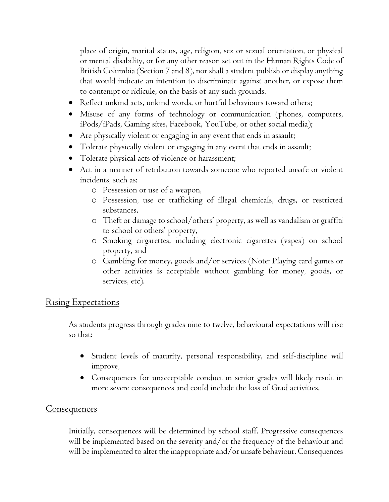place of origin, marital status, age, religion, sex or sexual orientation, or physical or mental disability, or for any other reason set out in the Human Rights Code of British Columbia (Section 7 and 8), nor shall a student publish or display anything that would indicate an intention to discriminate against another, or expose them to contempt or ridicule, on the basis of any such grounds.

- Reflect unkind acts, unkind words, or hurtful behaviours toward others;
- Misuse of any forms of technology or communication (phones, computers, iPods/iPads, Gaming sites, Facebook, YouTube, or other social media);
- Are physically violent or engaging in any event that ends in assault;
- Tolerate physically violent or engaging in any event that ends in assault;
- Tolerate physical acts of violence or harassment;
- Act in a manner of retribution towards someone who reported unsafe or violent incidents, such as:
	- o Possession or use of a weapon,
	- o Possession, use or trafficking of illegal chemicals, drugs, or restricted substances,
	- o Theft or damage to school/others' property, as well as vandalism or graffiti to school or others' property,
	- o Smoking cirgarettes, including electronic cigarettes (vapes) on school property, and
	- o Gambling for money, goods and/or services (Note: Playing card games or other activities is acceptable without gambling for money, goods, or services, etc).

### Rising Expectations

As students progress through grades nine to twelve, behavioural expectations will rise so that:

- Student levels of maturity, personal responsibility, and self-discipline will improve,
- Consequences for unacceptable conduct in senior grades will likely result in more severe consequences and could include the loss of Grad activities.

#### Consequences

Initially, consequences will be determined by school staff. Progressive consequences will be implemented based on the severity and/or the frequency of the behaviour and will be implemented to alter the inappropriate and/or unsafe behaviour. Consequences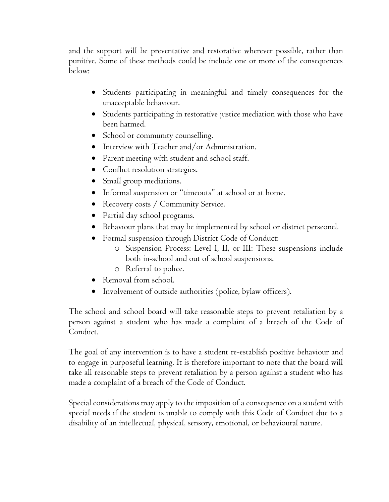and the support will be preventative and restorative wherever possible, rather than punitive. Some of these methods could be include one or more of the consequences below:

- Students participating in meaningful and timely consequences for the unacceptable behaviour.
- Students participating in restorative justice mediation with those who have been harmed.
- School or community counselling.
- Interview with Teacher and/or Administration.
- Parent meeting with student and school staff.
- Conflict resolution strategies.
- Small group mediations.
- Informal suspension or "timeouts" at school or at home.
- Recovery costs / Community Service.
- Partial day school programs.
- Behaviour plans that may be implemented by school or district perseonel.
- Formal suspension through District Code of Conduct:
	- o Suspension Process: Level I, II, or III: These suspensions include both in-school and out of school suspensions.
	- o Referral to police.
- Removal from school.
- Involvement of outside authorities (police, bylaw officers).

The school and school board will take reasonable steps to prevent retaliation by a person against a student who has made a complaint of a breach of the Code of Conduct.

The goal of any intervention is to have a student re-establish positive behaviour and to engage in purposeful learning. It is therefore important to note that the board will take all reasonable steps to prevent retaliation by a person against a student who has made a complaint of a breach of the Code of Conduct.

Special considerations may apply to the imposition of a consequence on a student with special needs if the student is unable to comply with this Code of Conduct due to a disability of an intellectual, physical, sensory, emotional, or behavioural nature.